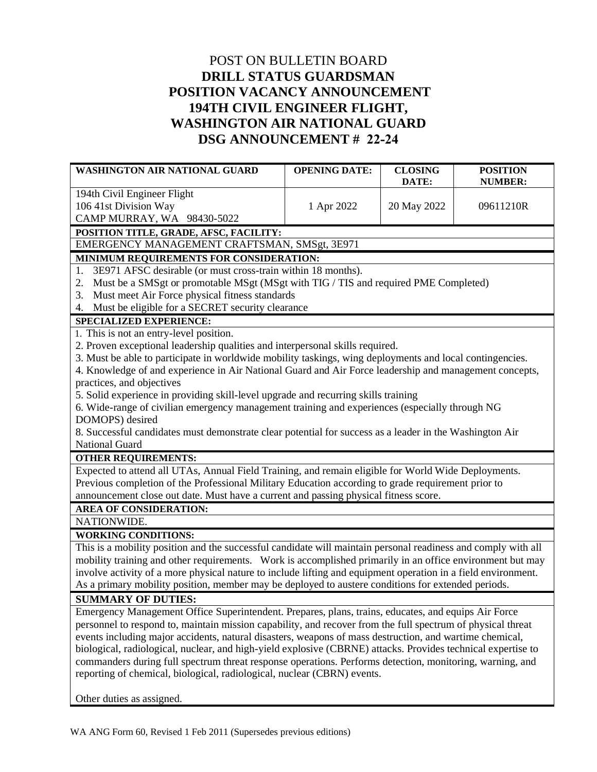## POST ON BULLETIN BOARD **DRILL STATUS GUARDSMAN POSITION VACANCY ANNOUNCEMENT 194TH CIVIL ENGINEER FLIGHT, WASHINGTON AIR NATIONAL GUARD DSG ANNOUNCEMENT # 22-24**

| WASHINGTON AIR NATIONAL GUARD                                                                                 | <b>OPENING DATE:</b> | <b>CLOSING</b> | <b>POSITION</b> |  |
|---------------------------------------------------------------------------------------------------------------|----------------------|----------------|-----------------|--|
|                                                                                                               |                      | DATE:          | <b>NUMBER:</b>  |  |
| 194th Civil Engineer Flight                                                                                   |                      |                |                 |  |
| 106 41st Division Way                                                                                         | 1 Apr 2022           | 20 May 2022    | 09611210R       |  |
| CAMP MURRAY, WA 98430-5022                                                                                    |                      |                |                 |  |
| POSITION TITLE, GRADE, AFSC, FACILITY:                                                                        |                      |                |                 |  |
| EMERGENCY MANAGEMENT CRAFTSMAN, SMSgt, 3E971                                                                  |                      |                |                 |  |
| MINIMUM REQUIREMENTS FOR CONSIDERATION:                                                                       |                      |                |                 |  |
| 3E971 AFSC desirable (or must cross-train within 18 months).<br>1.                                            |                      |                |                 |  |
| Must be a SMSgt or promotable MSgt (MSgt with TIG / TIS and required PME Completed)<br>2.                     |                      |                |                 |  |
| Must meet Air Force physical fitness standards<br>3.                                                          |                      |                |                 |  |
| 4. Must be eligible for a SECRET security clearance                                                           |                      |                |                 |  |
| <b>SPECIALIZED EXPERIENCE:</b>                                                                                |                      |                |                 |  |
| 1. This is not an entry-level position.                                                                       |                      |                |                 |  |
| 2. Proven exceptional leadership qualities and interpersonal skills required.                                 |                      |                |                 |  |
| 3. Must be able to participate in worldwide mobility taskings, wing deployments and local contingencies.      |                      |                |                 |  |
| 4. Knowledge of and experience in Air National Guard and Air Force leadership and management concepts,        |                      |                |                 |  |
| practices, and objectives                                                                                     |                      |                |                 |  |
| 5. Solid experience in providing skill-level upgrade and recurring skills training                            |                      |                |                 |  |
| 6. Wide-range of civilian emergency management training and experiences (especially through NG                |                      |                |                 |  |
| DOMOPS) desired                                                                                               |                      |                |                 |  |
| 8. Successful candidates must demonstrate clear potential for success as a leader in the Washington Air       |                      |                |                 |  |
| National Guard                                                                                                |                      |                |                 |  |
| <b>OTHER REQUIREMENTS:</b>                                                                                    |                      |                |                 |  |
| Expected to attend all UTAs, Annual Field Training, and remain eligible for World Wide Deployments.           |                      |                |                 |  |
| Previous completion of the Professional Military Education according to grade requirement prior to            |                      |                |                 |  |
| announcement close out date. Must have a current and passing physical fitness score.                          |                      |                |                 |  |
| <b>AREA OF CONSIDERATION:</b>                                                                                 |                      |                |                 |  |
| NATIONWIDE.                                                                                                   |                      |                |                 |  |
| <b>WORKING CONDITIONS:</b>                                                                                    |                      |                |                 |  |
| This is a mobility position and the successful candidate will maintain personal readiness and comply with all |                      |                |                 |  |
| mobility training and other requirements. Work is accomplished primarily in an office environment but may     |                      |                |                 |  |
| involve activity of a more physical nature to include lifting and equipment operation in a field environment. |                      |                |                 |  |
| As a primary mobility position, member may be deployed to austere conditions for extended periods.            |                      |                |                 |  |
| <b>SUMMARY OF DUTIES:</b>                                                                                     |                      |                |                 |  |
| Emergency Management Office Superintendent. Prepares, plans, trains, educates, and equips Air Force           |                      |                |                 |  |
| personnel to respond to, maintain mission capability, and recover from the full spectrum of physical threat   |                      |                |                 |  |
| events including major accidents, natural disasters, weapons of mass destruction, and wartime chemical,       |                      |                |                 |  |
| biological, radiological, nuclear, and high-yield explosive (CBRNE) attacks. Provides technical expertise to  |                      |                |                 |  |
| commanders during full spectrum threat response operations. Performs detection, monitoring, warning, and      |                      |                |                 |  |
| reporting of chemical, biological, radiological, nuclear (CBRN) events.                                       |                      |                |                 |  |

Other duties as assigned.